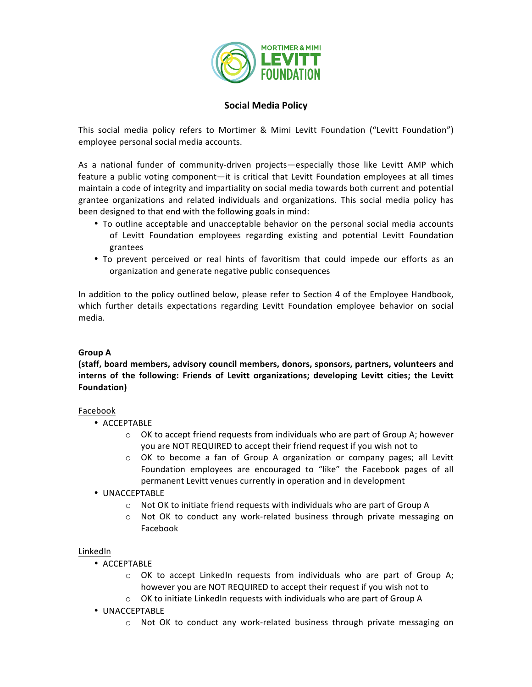

# **Social Media Policy**

This social media policy refers to Mortimer & Mimi Levitt Foundation ("Levitt Foundation") employee personal social media accounts.

As a national funder of community-driven projects—especially those like Levitt AMP which feature a public voting component—it is critical that Levitt Foundation employees at all times maintain a code of integrity and impartiality on social media towards both current and potential grantee organizations and related individuals and organizations. This social media policy has been designed to that end with the following goals in mind:

- To outline acceptable and unacceptable behavior on the personal social media accounts of Levitt Foundation employees regarding existing and potential Levitt Foundation grantees
- To prevent perceived or real hints of favoritism that could impede our efforts as an organization and generate negative public consequences

In addition to the policy outlined below, please refer to Section 4 of the Employee Handbook, which further details expectations regarding Levitt Foundation employee behavior on social media. 

### **Group A**

## **(staff, board members, advisory council members, donors, sponsors, partners, volunteers and interns** of the following: Friends of Levitt organizations; developing Levitt cities; the Levitt **Foundation)**

### Facebook

- ACCEPTABLE
	- $\circ$  OK to accept friend requests from individuals who are part of Group A; however you are NOT REQUIRED to accept their friend request if you wish not to
	- $\circ$  OK to become a fan of Group A organization or company pages; all Levitt Foundation employees are encouraged to "like" the Facebook pages of all permanent Levitt venues currently in operation and in development
- UNACCEPTABLE
	- o Not OK to initiate friend requests with individuals who are part of Group A
	- $\circ$  Not OK to conduct any work-related business through private messaging on Facebook

### LinkedIn

- ACCEPTABLE
	- $\circ$  OK to accept LinkedIn requests from individuals who are part of Group A; however you are NOT REQUIRED to accept their request if you wish not to
	- $\circ$  OK to initiate LinkedIn requests with individuals who are part of Group A
- UNACCEPTABLE
	- $\circ$  Not OK to conduct any work-related business through private messaging on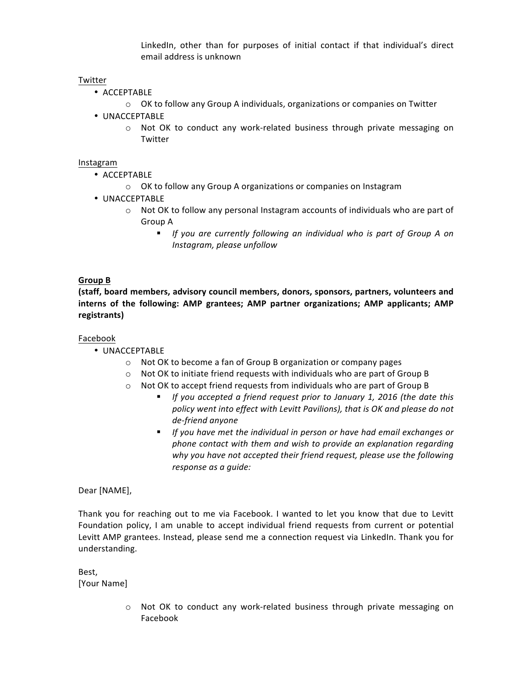LinkedIn, other than for purposes of initial contact if that individual's direct email address is unknown

### Twitter

- ACCEPTABLE
	- o OK to follow any Group A individuals, organizations or companies on Twitter
- UNACCEPTABLE
	- $\circ$  Not OK to conduct any work-related business through private messaging on Twitter

#### Instagram

- ACCEPTABLE
	- o OK to follow any Group A organizations or companies on Instagram
- UNACCEPTABLE
	- $\circ$  Not OK to follow any personal Instagram accounts of individuals who are part of Group A
		- If you are currently following an individual who is part of Group A on *Instagram, please unfollow*

### **Group B**

(staff, board members, advisory council members, donors, sponsors, partners, volunteers and **interns** of the following: AMP grantees; AMP partner organizations; AMP applicants; AMP **registrants)**

### Facebook

- UNACCEPTABLE
	- $\circ$  Not OK to become a fan of Group B organization or company pages
	- $\circ$  Not OK to initiate friend requests with individuals who are part of Group B
	- $\circ$  Not OK to accept friend requests from individuals who are part of Group B
		- **•** If you accepted a friend request prior to January 1, 2016 (the date this policy went into effect with Levitt Pavilions), that is OK and please do not *de-friend anyone*
		- If you have met the individual in person or have had email exchanges or *phone contact with them and wish to provide an explanation regarding why* you have not accepted their friend request, please use the following *response as a guide:*

Dear [NAME],

Thank you for reaching out to me via Facebook. I wanted to let you know that due to Levitt Foundation policy, I am unable to accept individual friend requests from current or potential Levitt AMP grantees. Instead, please send me a connection request via LinkedIn. Thank you for understanding.

Best, [Your Name]

> $\circ$  Not OK to conduct any work-related business through private messaging on Facebook